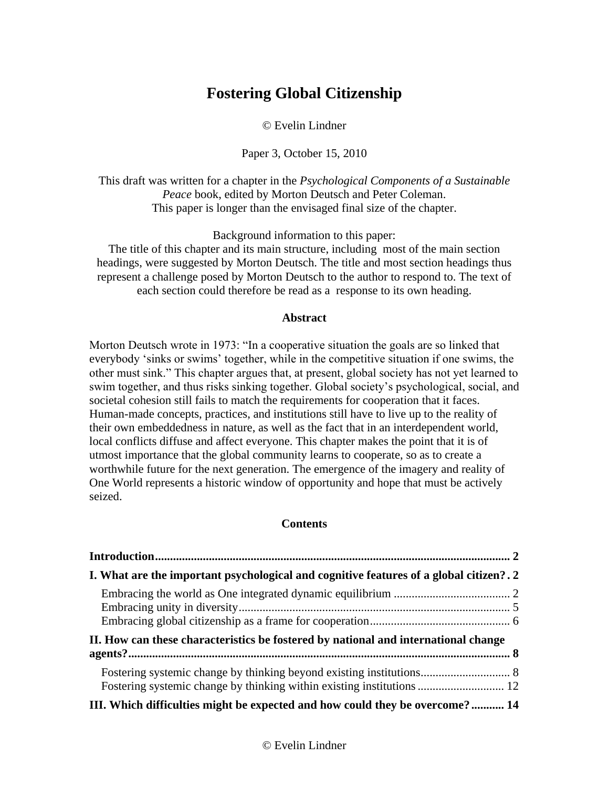# **Fostering Global Citizenship**

© Evelin Lindner

Paper 3, October 15, 2010

This draft was written for a chapter in the *Psychological Components of a Sustainable Peace* book, edited by Morton Deutsch and Peter Coleman. This paper is longer than the envisaged final size of the chapter.

Background information to this paper:

The title of this chapter and its main structure, including most of the main section headings, were suggested by Morton Deutsch. The title and most section headings thus represent a challenge posed by Morton Deutsch to the author to respond to. The text of each section could therefore be read as a response to its own heading.

# **Abstract**

Morton Deutsch wrote in 1973: "In a cooperative situation the goals are so linked that everybody 'sinks or swims' together, while in the competitive situation if one swims, the other must sink." This chapter argues that, at present, global society has not yet learned to swim together, and thus risks sinking together. Global society's psychological, social, and societal cohesion still fails to match the requirements for cooperation that it faces. Human-made concepts, practices, and institutions still have to live up to the reality of their own embeddedness in nature, as well as the fact that in an interdependent world, local conflicts diffuse and affect everyone. This chapter makes the point that it is of utmost importance that the global community learns to cooperate, so as to create a worthwhile future for the next generation. The emergence of the imagery and reality of One World represents a historic window of opportunity and hope that must be actively seized.

# **Contents**

| I. What are the important psychological and cognitive features of a global citizen?. 2 |  |
|----------------------------------------------------------------------------------------|--|
|                                                                                        |  |
|                                                                                        |  |
|                                                                                        |  |
| II. How can these characteristics be fostered by national and international change     |  |
|                                                                                        |  |
|                                                                                        |  |
| Fostering systemic change by thinking within existing institutions  12                 |  |
| III. Which difficulties might be expected and how could they be overcome? 14           |  |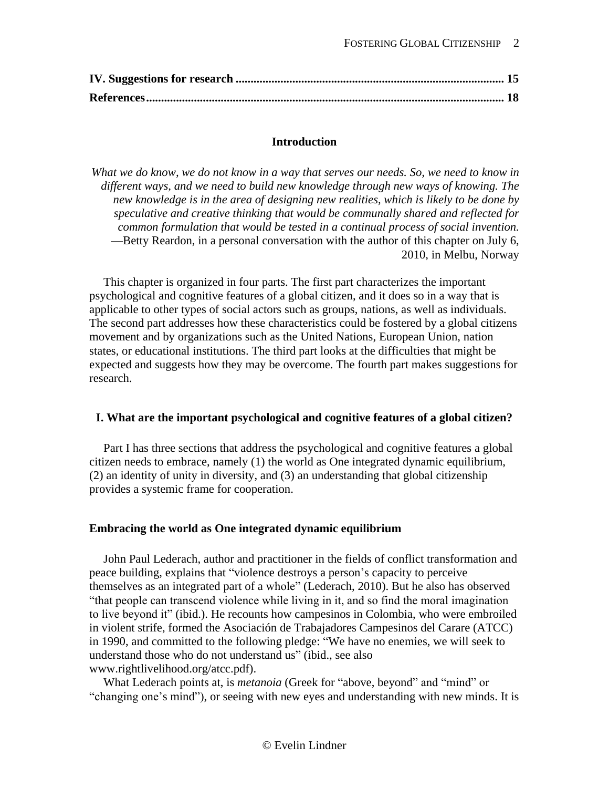## **Introduction**

<span id="page-1-0"></span>*What we do know, we do not know in a way that serves our needs. So, we need to know in different ways, and we need to build new knowledge through new ways of knowing. The new knowledge is in the area of designing new realities, which is likely to be done by speculative and creative thinking that would be communally shared and reflected for common formulation that would be tested in a continual process of social invention.* —Betty Reardon, in a personal conversation with the author of this chapter on July 6, 2010, in Melbu, Norway

This chapter is organized in four parts. The first part characterizes the important psychological and cognitive features of a global citizen, and it does so in a way that is applicable to other types of social actors such as groups, nations, as well as individuals. The second part addresses how these characteristics could be fostered by a global citizens movement and by organizations such as the United Nations, European Union, nation states, or educational institutions. The third part looks at the difficulties that might be expected and suggests how they may be overcome. The fourth part makes suggestions for research.

#### <span id="page-1-1"></span>**I. What are the important psychological and cognitive features of a global citizen?**

Part I has three sections that address the psychological and cognitive features a global citizen needs to embrace, namely (1) the world as One integrated dynamic equilibrium, (2) an identity of unity in diversity, and (3) an understanding that global citizenship provides a systemic frame for cooperation.

#### <span id="page-1-2"></span>**Embracing the world as One integrated dynamic equilibrium**

John Paul Lederach, author and practitioner in the fields of conflict transformation and peace building, explains that "violence destroys a person's capacity to perceive themselves as an integrated part of a whole" (Lederach, 2010). But he also has observed "that people can transcend violence while living in it, and so find the moral imagination to live beyond it" (ibid.). He recounts how campesinos in Colombia, who were embroiled in violent strife, formed the Asociación de Trabajadores Campesinos del Carare (ATCC) in 1990, and committed to the following pledge: "We have no enemies, we will seek to understand those who do not understand us" (ibid., see also www.rightlivelihood.org/atcc.pdf).

What Lederach points at, is *metanoia* (Greek for "above, beyond" and "mind" or "changing one's mind"), or seeing with new eyes and understanding with new minds. It is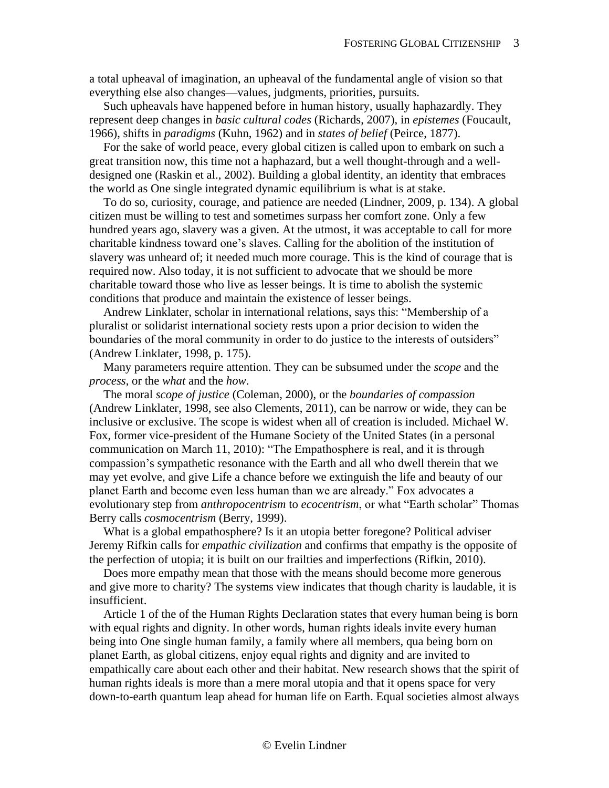a total upheaval of imagination, an upheaval of the fundamental angle of vision so that everything else also changes—values, judgments, priorities, pursuits.

Such upheavals have happened before in human history, usually haphazardly. They represent deep changes in *basic cultural codes* (Richards, 2007), in *epistemes* (Foucault, 1966), shifts in *paradigms* (Kuhn, 1962) and in *states of belief* (Peirce, 1877).

For the sake of world peace, every global citizen is called upon to embark on such a great transition now, this time not a haphazard, but a well thought-through and a welldesigned one (Raskin et al., 2002). Building a global identity, an identity that embraces the world as One single integrated dynamic equilibrium is what is at stake.

To do so, curiosity, courage, and patience are needed (Lindner, 2009, p. 134). A global citizen must be willing to test and sometimes surpass her comfort zone. Only a few hundred years ago, slavery was a given. At the utmost, it was acceptable to call for more charitable kindness toward one's slaves. Calling for the abolition of the institution of slavery was unheard of; it needed much more courage. This is the kind of courage that is required now. Also today, it is not sufficient to advocate that we should be more charitable toward those who live as lesser beings. It is time to abolish the systemic conditions that produce and maintain the existence of lesser beings.

Andrew Linklater, scholar in international relations, says this: "Membership of a pluralist or solidarist international society rests upon a prior decision to widen the boundaries of the moral community in order to do justice to the interests of outsiders" (Andrew Linklater, 1998, p. 175).

Many parameters require attention. They can be subsumed under the *scope* and the *process*, or the *what* and the *how*.

The moral *scope of justice* (Coleman, 2000), or the *boundaries of compassion* (Andrew Linklater, 1998, see also Clements, 2011), can be narrow or wide, they can be inclusive or exclusive. The scope is widest when all of creation is included. Michael W. Fox, former vice-president of the Humane Society of the United States (in a personal communication on March 11, 2010): "The Empathosphere is real, and it is through compassion's sympathetic resonance with the Earth and all who dwell therein that we may yet evolve, and give Life a chance before we extinguish the life and beauty of our planet Earth and become even less human than we are already." Fox advocates a evolutionary step from *anthropocentrism* to *ecocentrism*, or what "Earth scholar" Thomas Berry calls *cosmocentrism* (Berry, 1999).

What is a global empathosphere? Is it an utopia better foregone? Political adviser Jeremy Rifkin calls for *empathic civilization* and confirms that empathy is the opposite of the perfection of utopia; it is built on our frailties and imperfections (Rifkin, 2010).

Does more empathy mean that those with the means should become more generous and give more to charity? The systems view indicates that though charity is laudable, it is insufficient.

Article 1 of the of the Human Rights Declaration states that every human being is born with equal rights and dignity. In other words, human rights ideals invite every human being into One single human family, a family where all members, qua being born on planet Earth, as global citizens, enjoy equal rights and dignity and are invited to empathically care about each other and their habitat. New research shows that the spirit of human rights ideals is more than a mere moral utopia and that it opens space for very down-to-earth quantum leap ahead for human life on Earth. Equal societies almost always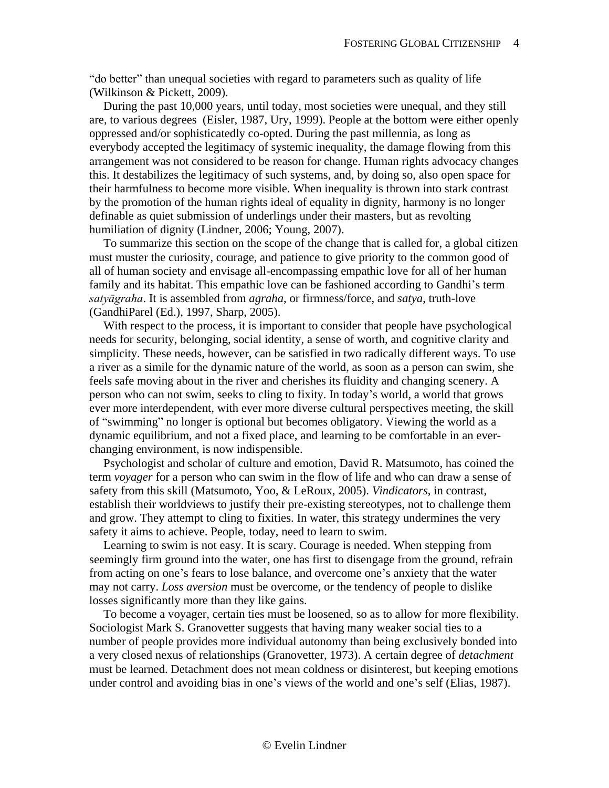"do better" than unequal societies with regard to parameters such as quality of life (Wilkinson & Pickett, 2009).

During the past 10,000 years, until today, most societies were unequal, and they still are, to various degrees (Eisler, 1987, Ury, 1999). People at the bottom were either openly oppressed and/or sophisticatedly co-opted. During the past millennia, as long as everybody accepted the legitimacy of systemic inequality, the damage flowing from this arrangement was not considered to be reason for change. Human rights advocacy changes this. It destabilizes the legitimacy of such systems, and, by doing so, also open space for their harmfulness to become more visible. When inequality is thrown into stark contrast by the promotion of the human rights ideal of equality in dignity, harmony is no longer definable as quiet submission of underlings under their masters, but as revolting humiliation of dignity (Lindner, 2006; Young, 2007).

To summarize this section on the scope of the change that is called for, a global citizen must muster the curiosity, courage, and patience to give priority to the common good of all of human society and envisage all-encompassing empathic love for all of her human family and its habitat. This empathic love can be fashioned according to Gandhi's term *satyāgraha*. It is assembled from *agraha*, or firmness/force, and *satya*, truth-love (GandhiParel (Ed.), 1997, Sharp, 2005).

With respect to the process, it is important to consider that people have psychological needs for security, belonging, social identity, a sense of worth, and cognitive clarity and simplicity. These needs, however, can be satisfied in two radically different ways. To use a river as a simile for the dynamic nature of the world, as soon as a person can swim, she feels safe moving about in the river and cherishes its fluidity and changing scenery. A person who can not swim, seeks to cling to fixity. In today's world, a world that grows ever more interdependent, with ever more diverse cultural perspectives meeting, the skill of "swimming" no longer is optional but becomes obligatory. Viewing the world as a dynamic equilibrium, and not a fixed place, and learning to be comfortable in an everchanging environment, is now indispensible.

Psychologist and scholar of culture and emotion, David R. Matsumoto, has coined the term *voyager* for a person who can swim in the flow of life and who can draw a sense of safety from this skill (Matsumoto, Yoo, & LeRoux, 2005). *Vindicators*, in contrast, establish their worldviews to justify their pre-existing stereotypes, not to challenge them and grow. They attempt to cling to fixities. In water, this strategy undermines the very safety it aims to achieve. People, today, need to learn to swim.

Learning to swim is not easy. It is scary. Courage is needed. When stepping from seemingly firm ground into the water, one has first to disengage from the ground, refrain from acting on one's fears to lose balance, and overcome one's anxiety that the water may not carry. *Loss aversion* must be overcome, or the tendency of people to dislike losses significantly more than they like gains.

To become a voyager, certain ties must be loosened, so as to allow for more flexibility. Sociologist Mark S. Granovetter suggests that having many weaker social ties to a number of people provides more individual autonomy than being exclusively bonded into a very closed nexus of relationships (Granovetter, 1973). A certain degree of *detachment* must be learned. Detachment does not mean coldness or disinterest, but keeping emotions under control and avoiding bias in one's views of the world and one's self (Elias, 1987).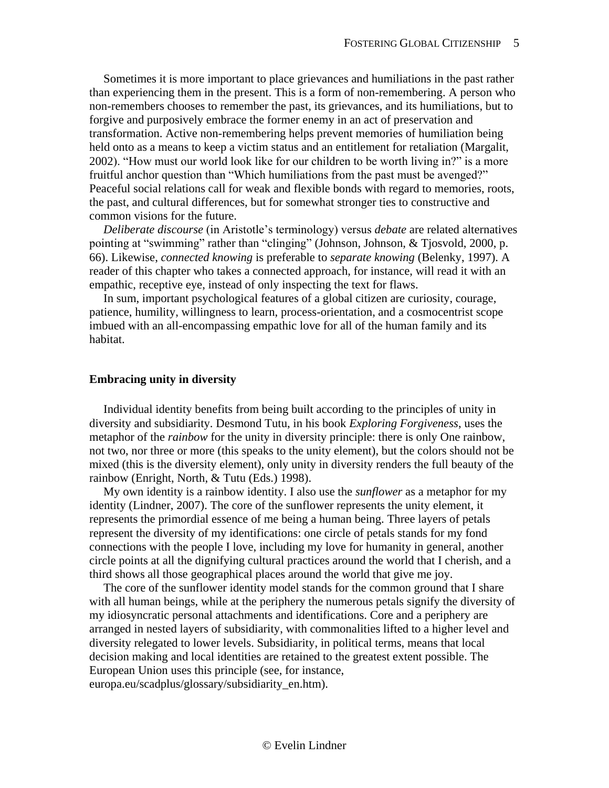Sometimes it is more important to place grievances and humiliations in the past rather than experiencing them in the present. This is a form of non-remembering. A person who non-remembers chooses to remember the past, its grievances, and its humiliations, but to forgive and purposively embrace the former enemy in an act of preservation and transformation. Active non-remembering helps prevent memories of humiliation being held onto as a means to keep a victim status and an entitlement for retaliation (Margalit, 2002). "How must our world look like for our children to be worth living in?" is a more fruitful anchor question than "Which humiliations from the past must be avenged?" Peaceful social relations call for weak and flexible bonds with regard to memories, roots, the past, and cultural differences, but for somewhat stronger ties to constructive and common visions for the future.

*Deliberate discourse* (in Aristotle's terminology) versus *debate* are related alternatives pointing at "swimming" rather than "clinging" (Johnson, Johnson, & Tjosvold, 2000, p. 66). Likewise, *connected knowing* is preferable to *separate knowing* (Belenky, 1997). A reader of this chapter who takes a connected approach, for instance, will read it with an empathic, receptive eye, instead of only inspecting the text for flaws.

In sum, important psychological features of a global citizen are curiosity, courage, patience, humility, willingness to learn, process-orientation, and a cosmocentrist scope imbued with an all-encompassing empathic love for all of the human family and its habitat.

#### <span id="page-4-0"></span>**Embracing unity in diversity**

Individual identity benefits from being built according to the principles of unity in diversity and subsidiarity. Desmond Tutu, in his book *Exploring Forgiveness*, uses the metaphor of the *rainbow* for the unity in diversity principle: there is only One rainbow, not two, nor three or more (this speaks to the unity element), but the colors should not be mixed (this is the diversity element), only unity in diversity renders the full beauty of the rainbow (Enright, North, & Tutu (Eds.) 1998).

My own identity is a rainbow identity. I also use the *sunflower* as a metaphor for my identity (Lindner, 2007). The core of the sunflower represents the unity element, it represents the primordial essence of me being a human being. Three layers of petals represent the diversity of my identifications: one circle of petals stands for my fond connections with the people I love, including my love for humanity in general, another circle points at all the dignifying cultural practices around the world that I cherish, and a third shows all those geographical places around the world that give me joy.

The core of the sunflower identity model stands for the common ground that I share with all human beings, while at the periphery the numerous petals signify the diversity of my idiosyncratic personal attachments and identifications. Core and a periphery are arranged in nested layers of subsidiarity, with commonalities lifted to a higher level and diversity relegated to lower levels. Subsidiarity, in political terms, means that local decision making and local identities are retained to the greatest extent possible. The European Union uses this principle (see, for instance, europa.eu/scadplus/glossary/subsidiarity\_en.htm).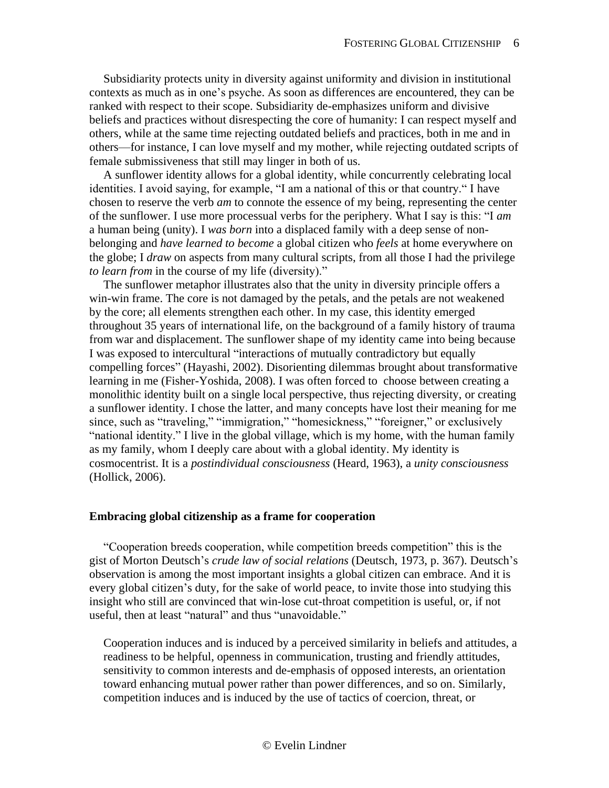Subsidiarity protects unity in diversity against uniformity and division in institutional contexts as much as in one's psyche. As soon as differences are encountered, they can be ranked with respect to their scope. Subsidiarity de-emphasizes uniform and divisive beliefs and practices without disrespecting the core of humanity: I can respect myself and others, while at the same time rejecting outdated beliefs and practices, both in me and in others—for instance, I can love myself and my mother, while rejecting outdated scripts of female submissiveness that still may linger in both of us.

A sunflower identity allows for a global identity, while concurrently celebrating local identities. I avoid saying, for example, "I am a national of this or that country." I have chosen to reserve the verb *am* to connote the essence of my being, representing the center of the sunflower. I use more processual verbs for the periphery. What I say is this: "I *am* a human being (unity). I *was born* into a displaced family with a deep sense of nonbelonging and *have learned to become* a global citizen who *feels* at home everywhere on the globe; I *draw* on aspects from many cultural scripts, from all those I had the privilege *to learn from* in the course of my life (diversity)."

The sunflower metaphor illustrates also that the unity in diversity principle offers a win-win frame. The core is not damaged by the petals, and the petals are not weakened by the core; all elements strengthen each other. In my case, this identity emerged throughout 35 years of international life, on the background of a family history of trauma from war and displacement. The sunflower shape of my identity came into being because I was exposed to intercultural "interactions of mutually contradictory but equally compelling forces" (Hayashi, 2002). Disorienting dilemmas brought about transformative learning in me (Fisher-Yoshida, 2008). I was often forced to choose between creating a monolithic identity built on a single local perspective, thus rejecting diversity, or creating a sunflower identity. I chose the latter, and many concepts have lost their meaning for me since, such as "traveling," "immigration," "homesickness," "foreigner," or exclusively "national identity." I live in the global village, which is my home, with the human family as my family, whom I deeply care about with a global identity. My identity is cosmocentrist. It is a *postindividual consciousness* (Heard, 1963), a *unity consciousness* (Hollick, 2006).

## <span id="page-5-0"></span>**Embracing global citizenship as a frame for cooperation**

"Cooperation breeds cooperation, while competition breeds competition" this is the gist of Morton Deutsch's *crude law of social relations* (Deutsch, 1973, p. 367). Deutsch's observation is among the most important insights a global citizen can embrace. And it is every global citizen's duty, for the sake of world peace, to invite those into studying this insight who still are convinced that win-lose cut-throat competition is useful, or, if not useful, then at least "natural" and thus "unavoidable."

Cooperation induces and is induced by a perceived similarity in beliefs and attitudes, a readiness to be helpful, openness in communication, trusting and friendly attitudes, sensitivity to common interests and de-emphasis of opposed interests, an orientation toward enhancing mutual power rather than power differences, and so on. Similarly, competition induces and is induced by the use of tactics of coercion, threat, or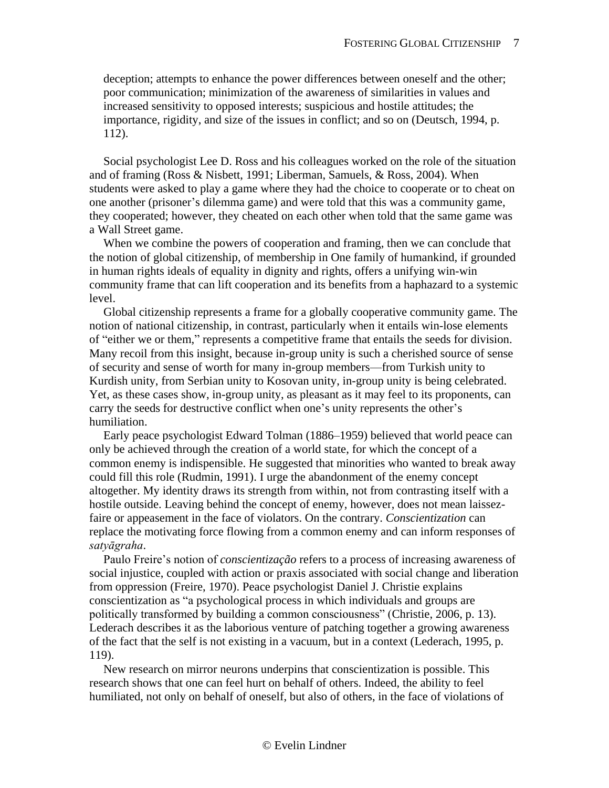deception; attempts to enhance the power differences between oneself and the other; poor communication; minimization of the awareness of similarities in values and increased sensitivity to opposed interests; suspicious and hostile attitudes; the importance, rigidity, and size of the issues in conflict; and so on (Deutsch, 1994, p. 112).

Social psychologist Lee D. Ross and his colleagues worked on the role of the situation and of framing (Ross & Nisbett, 1991; Liberman, Samuels, & Ross, 2004). When students were asked to play a game where they had the choice to cooperate or to cheat on one another (prisoner's dilemma game) and were told that this was a community game, they cooperated; however, they cheated on each other when told that the same game was a Wall Street game.

When we combine the powers of cooperation and framing, then we can conclude that the notion of global citizenship, of membership in One family of humankind, if grounded in human rights ideals of equality in dignity and rights, offers a unifying win-win community frame that can lift cooperation and its benefits from a haphazard to a systemic level.

Global citizenship represents a frame for a globally cooperative community game. The notion of national citizenship, in contrast, particularly when it entails win-lose elements of "either we or them," represents a competitive frame that entails the seeds for division. Many recoil from this insight, because in-group unity is such a cherished source of sense of security and sense of worth for many in-group members—from Turkish unity to Kurdish unity, from Serbian unity to Kosovan unity, in-group unity is being celebrated. Yet, as these cases show, in-group unity, as pleasant as it may feel to its proponents, can carry the seeds for destructive conflict when one's unity represents the other's humiliation.

Early peace psychologist Edward Tolman (1886–1959) believed that world peace can only be achieved through the creation of a world state, for which the concept of a common enemy is indispensible. He suggested that minorities who wanted to break away could fill this role (Rudmin, 1991). I urge the abandonment of the enemy concept altogether. My identity draws its strength from within, not from contrasting itself with a hostile outside. Leaving behind the concept of enemy, however, does not mean laissezfaire or appeasement in the face of violators. On the contrary. *Conscientization* can replace the motivating force flowing from a common enemy and can inform responses of *satyāgraha*.

Paulo Freire's notion of *conscientização* refers to a process of increasing awareness of social injustice, coupled with action or praxis associated with social change and liberation from oppression (Freire, 1970). Peace psychologist Daniel J. Christie explains conscientization as "a psychological process in which individuals and groups are politically transformed by building a common consciousness" (Christie, 2006, p. 13). Lederach describes it as the laborious venture of patching together a growing awareness of the fact that the self is not existing in a vacuum, but in a context (Lederach, 1995, p. 119).

New research on mirror neurons underpins that conscientization is possible. This research shows that one can feel hurt on behalf of others. Indeed, the ability to feel humiliated, not only on behalf of oneself, but also of others, in the face of violations of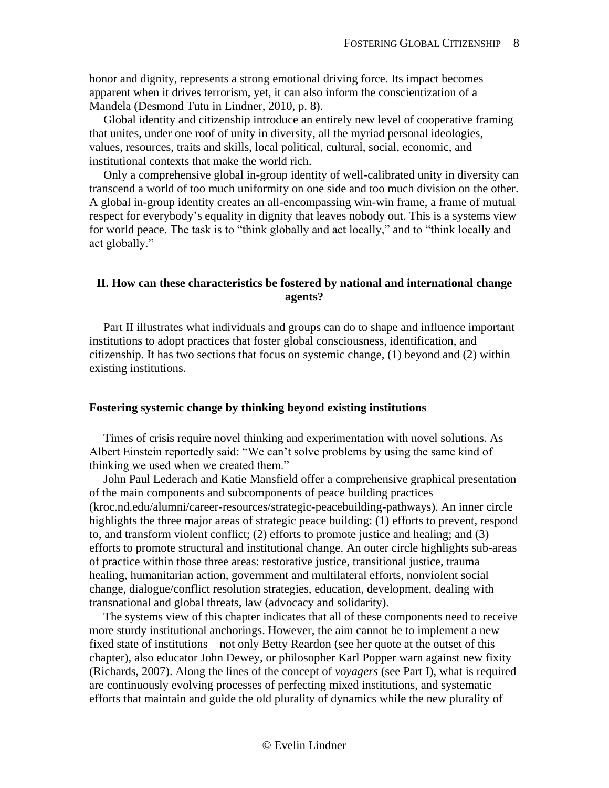honor and dignity, represents a strong emotional driving force. Its impact becomes apparent when it drives terrorism, yet, it can also inform the conscientization of a Mandela (Desmond Tutu in Lindner, 2010, p. 8).

Global identity and citizenship introduce an entirely new level of cooperative framing that unites, under one roof of unity in diversity, all the myriad personal ideologies, values, resources, traits and skills, local political, cultural, social, economic, and institutional contexts that make the world rich.

Only a comprehensive global in-group identity of well-calibrated unity in diversity can transcend a world of too much uniformity on one side and too much division on the other. A global in-group identity creates an all-encompassing win-win frame, a frame of mutual respect for everybody's equality in dignity that leaves nobody out. This is a systems view for world peace. The task is to "think globally and act locally," and to "think locally and act globally."

# <span id="page-7-0"></span>**II. How can these characteristics be fostered by national and international change agents?**

Part II illustrates what individuals and groups can do to shape and influence important institutions to adopt practices that foster global consciousness, identification, and citizenship. It has two sections that focus on systemic change, (1) beyond and (2) within existing institutions.

### <span id="page-7-1"></span>**Fostering systemic change by thinking beyond existing institutions**

Times of crisis require novel thinking and experimentation with novel solutions. As Albert Einstein reportedly said: "We can't solve problems by using the same kind of thinking we used when we created them."

John Paul Lederach and Katie Mansfield offer a comprehensive graphical presentation of the main components and subcomponents of peace building practices (kroc.nd.edu/alumni/career-resources/strategic-peacebuilding-pathways). An inner circle highlights the three major areas of strategic peace building: (1) efforts to prevent, respond to, and transform violent conflict; (2) efforts to promote justice and healing; and (3) efforts to promote structural and institutional change. An outer circle highlights sub-areas of practice within those three areas: restorative justice, transitional justice, trauma healing, humanitarian action, government and multilateral efforts, nonviolent social change, dialogue/conflict resolution strategies, education, development, dealing with transnational and global threats, law (advocacy and solidarity).

The systems view of this chapter indicates that all of these components need to receive more sturdy institutional anchorings. However, the aim cannot be to implement a new fixed state of institutions—not only Betty Reardon (see her quote at the outset of this chapter), also educator John Dewey, or philosopher Karl Popper warn against new fixity (Richards, 2007). Along the lines of the concept of *voyagers* (see Part I), what is required are continuously evolving processes of perfecting mixed institutions, and systematic efforts that maintain and guide the old plurality of dynamics while the new plurality of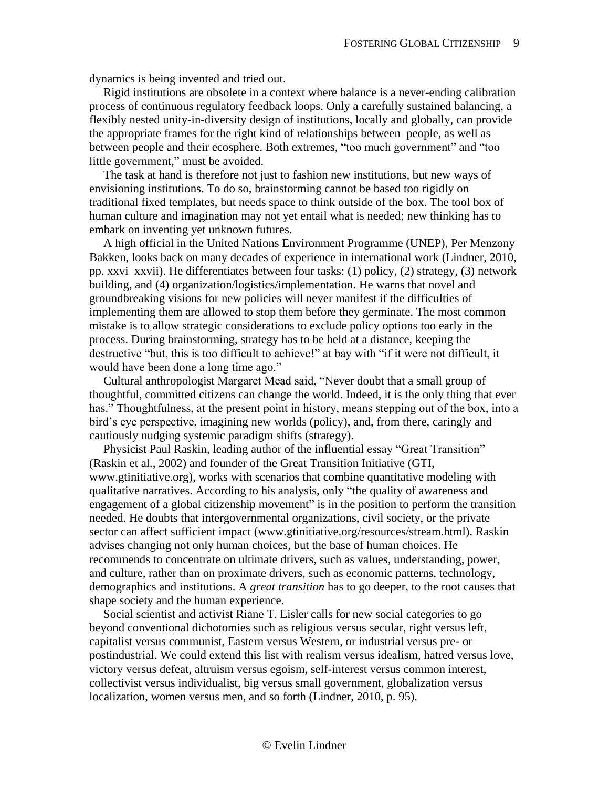dynamics is being invented and tried out.

Rigid institutions are obsolete in a context where balance is a never-ending calibration process of continuous regulatory feedback loops. Only a carefully sustained balancing, a flexibly nested unity-in-diversity design of institutions, locally and globally, can provide the appropriate frames for the right kind of relationships between people, as well as between people and their ecosphere. Both extremes, "too much government" and "too little government," must be avoided.

The task at hand is therefore not just to fashion new institutions, but new ways of envisioning institutions. To do so, brainstorming cannot be based too rigidly on traditional fixed templates, but needs space to think outside of the box. The tool box of human culture and imagination may not yet entail what is needed; new thinking has to embark on inventing yet unknown futures.

A high official in the United Nations Environment Programme (UNEP), Per Menzony Bakken, looks back on many decades of experience in international work (Lindner, 2010, pp. xxvi–xxvii). He differentiates between four tasks: (1) policy, (2) strategy, (3) network building, and (4) organization/logistics/implementation. He warns that novel and groundbreaking visions for new policies will never manifest if the difficulties of implementing them are allowed to stop them before they germinate. The most common mistake is to allow strategic considerations to exclude policy options too early in the process. During brainstorming, strategy has to be held at a distance, keeping the destructive "but, this is too difficult to achieve!" at bay with "if it were not difficult, it would have been done a long time ago."

Cultural anthropologist Margaret Mead said, "Never doubt that a small group of thoughtful, committed citizens can change the world. Indeed, it is the only thing that ever has." Thoughtfulness, at the present point in history, means stepping out of the box, into a bird's eye perspective, imagining new worlds (policy), and, from there, caringly and cautiously nudging systemic paradigm shifts (strategy).

Physicist Paul Raskin, leading author of the influential essay "Great Transition" (Raskin et al., 2002) and founder of the Great Transition Initiative (GTI, www.gtinitiative.org), works with scenarios that combine quantitative modeling with qualitative narratives. According to his analysis, only "the quality of awareness and engagement of a global citizenship movement" is in the position to perform the transition needed. He doubts that intergovernmental organizations, civil society, or the private sector can affect sufficient impact (www.gtinitiative.org/resources/stream.html). Raskin advises changing not only human choices, but the base of human choices. He recommends to concentrate on ultimate drivers, such as values, understanding, power, and culture, rather than on proximate drivers, such as economic patterns, technology, demographics and institutions. A *great transition* has to go deeper, to the root causes that shape society and the human experience.

Social scientist and activist Riane T. Eisler calls for new social categories to go beyond conventional dichotomies such as religious versus secular, right versus left, capitalist versus communist, Eastern versus Western, or industrial versus pre- or postindustrial. We could extend this list with realism versus idealism, hatred versus love, victory versus defeat, altruism versus egoism, self-interest versus common interest, collectivist versus individualist, big versus small government, globalization versus localization, women versus men, and so forth (Lindner, 2010, p. 95).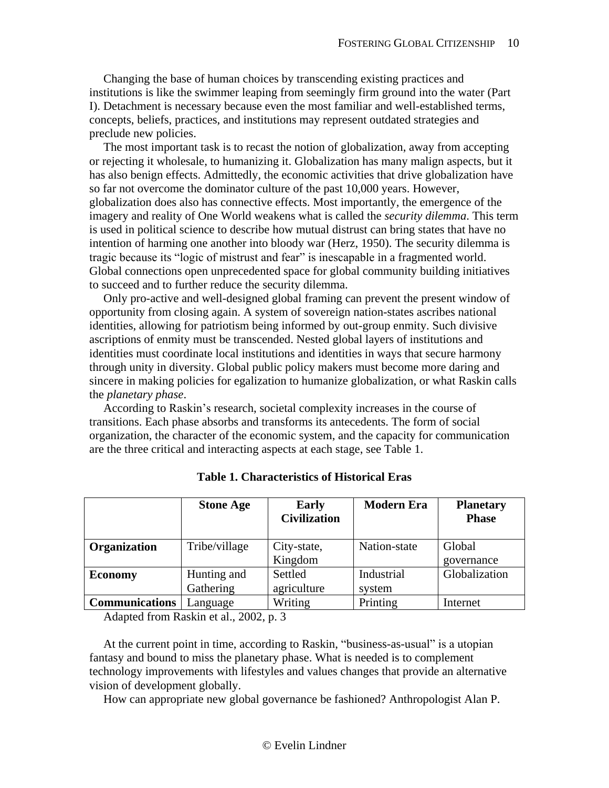Changing the base of human choices by transcending existing practices and institutions is like the swimmer leaping from seemingly firm ground into the water (Part I). Detachment is necessary because even the most familiar and well-established terms, concepts, beliefs, practices, and institutions may represent outdated strategies and preclude new policies.

The most important task is to recast the notion of globalization, away from accepting or rejecting it wholesale, to humanizing it. Globalization has many malign aspects, but it has also benign effects. Admittedly, the economic activities that drive globalization have so far not overcome the dominator culture of the past 10,000 years. However, globalization does also has connective effects. Most importantly, the emergence of the imagery and reality of One World weakens what is called the *security dilemma*. This term is used in political science to describe how mutual distrust can bring states that have no intention of harming one another into bloody war (Herz, 1950). The security dilemma is tragic because its "logic of mistrust and fear" is inescapable in a fragmented world. Global connections open unprecedented space for global community building initiatives to succeed and to further reduce the security dilemma.

Only pro-active and well-designed global framing can prevent the present window of opportunity from closing again. A system of sovereign nation-states ascribes national identities, allowing for patriotism being informed by out-group enmity. Such divisive ascriptions of enmity must be transcended. Nested global layers of institutions and identities must coordinate local institutions and identities in ways that secure harmony through unity in diversity. Global public policy makers must become more daring and sincere in making policies for egalization to humanize globalization, or what Raskin calls the *planetary phase*.

According to Raskin's research, societal complexity increases in the course of transitions. Each phase absorbs and transforms its antecedents. The form of social organization, the character of the economic system, and the capacity for communication are the three critical and interacting aspects at each stage, see Table 1.

|                       | <b>Stone Age</b>         | <b>Early</b><br><b>Civilization</b> | <b>Modern Era</b>    | <b>Planetary</b><br><b>Phase</b> |
|-----------------------|--------------------------|-------------------------------------|----------------------|----------------------------------|
| <b>Organization</b>   | Tribe/village            | City-state,<br>Kingdom              | Nation-state         | Global<br>governance             |
| <b>Economy</b>        | Hunting and<br>Gathering | Settled<br>agriculture              | Industrial<br>system | Globalization                    |
| <b>Communications</b> | Language                 | Writing                             | Printing             | Internet                         |

**Table 1. Characteristics of Historical Eras**

Adapted from Raskin et al., 2002, p. 3

At the current point in time, according to Raskin, "business-as-usual" is a utopian fantasy and bound to miss the planetary phase. What is needed is to complement technology improvements with lifestyles and values changes that provide an alternative vision of development globally.

How can appropriate new global governance be fashioned? Anthropologist Alan P.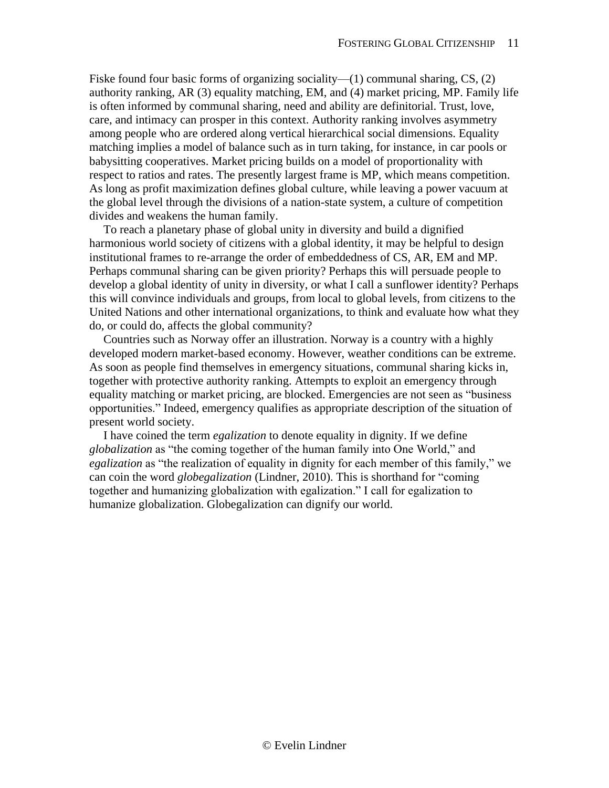Fiske found four basic forms of organizing sociality— $(1)$  communal sharing, CS,  $(2)$ authority ranking, AR (3) equality matching, EM, and (4) market pricing, MP. Family life is often informed by communal sharing, need and ability are definitorial. Trust, love, care, and intimacy can prosper in this context. Authority ranking involves asymmetry among people who are ordered along vertical hierarchical social dimensions. Equality matching implies a model of balance such as in turn taking, for instance, in car pools or babysitting cooperatives. Market pricing builds on a model of proportionality with respect to ratios and rates. The presently largest frame is MP, which means competition. As long as profit maximization defines global culture, while leaving a power vacuum at the global level through the divisions of a nation-state system, a culture of competition divides and weakens the human family.

To reach a planetary phase of global unity in diversity and build a dignified harmonious world society of citizens with a global identity, it may be helpful to design institutional frames to re-arrange the order of embeddedness of CS, AR, EM and MP. Perhaps communal sharing can be given priority? Perhaps this will persuade people to develop a global identity of unity in diversity, or what I call a sunflower identity? Perhaps this will convince individuals and groups, from local to global levels, from citizens to the United Nations and other international organizations, to think and evaluate how what they do, or could do, affects the global community?

Countries such as Norway offer an illustration. Norway is a country with a highly developed modern market-based economy. However, weather conditions can be extreme. As soon as people find themselves in emergency situations, communal sharing kicks in, together with protective authority ranking. Attempts to exploit an emergency through equality matching or market pricing, are blocked. Emergencies are not seen as "business opportunities." Indeed, emergency qualifies as appropriate description of the situation of present world society.

I have coined the term *egalization* to denote equality in dignity. If we define *globalization* as "the coming together of the human family into One World," and *egalization* as "the realization of equality in dignity for each member of this family," we can coin the word *globegalization* (Lindner, 2010). This is shorthand for "coming together and humanizing globalization with egalization." I call for egalization to humanize globalization. Globegalization can dignify our world.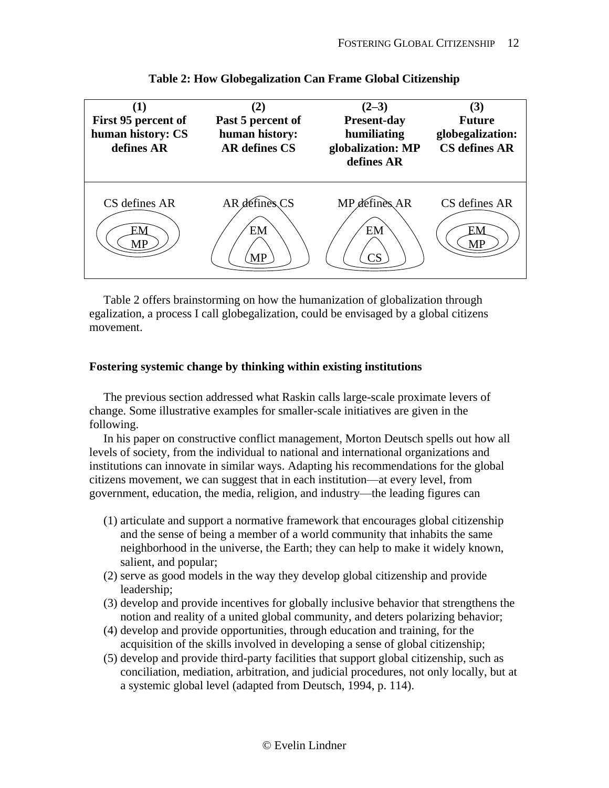

# **Table 2: How Globegalization Can Frame Global Citizenship**

Table 2 offers brainstorming on how the humanization of globalization through egalization, a process I call globegalization, could be envisaged by a global citizens movement.

# <span id="page-11-0"></span>**Fostering systemic change by thinking within existing institutions**

The previous section addressed what Raskin calls large-scale proximate levers of change. Some illustrative examples for smaller-scale initiatives are given in the following.

In his paper on constructive conflict management, Morton Deutsch spells out how all levels of society, from the individual to national and international organizations and institutions can innovate in similar ways. Adapting his recommendations for the global citizens movement, we can suggest that in each institution—at every level, from government, education, the media, religion, and industry—the leading figures can

- (1) articulate and support a normative framework that encourages global citizenship and the sense of being a member of a world community that inhabits the same neighborhood in the universe, the Earth; they can help to make it widely known, salient, and popular;
- (2) serve as good models in the way they develop global citizenship and provide leadership;
- (3) develop and provide incentives for globally inclusive behavior that strengthens the notion and reality of a united global community, and deters polarizing behavior;
- (4) develop and provide opportunities, through education and training, for the acquisition of the skills involved in developing a sense of global citizenship;
- (5) develop and provide third-party facilities that support global citizenship, such as conciliation, mediation, arbitration, and judicial procedures, not only locally, but at a systemic global level (adapted from Deutsch, 1994, p. 114).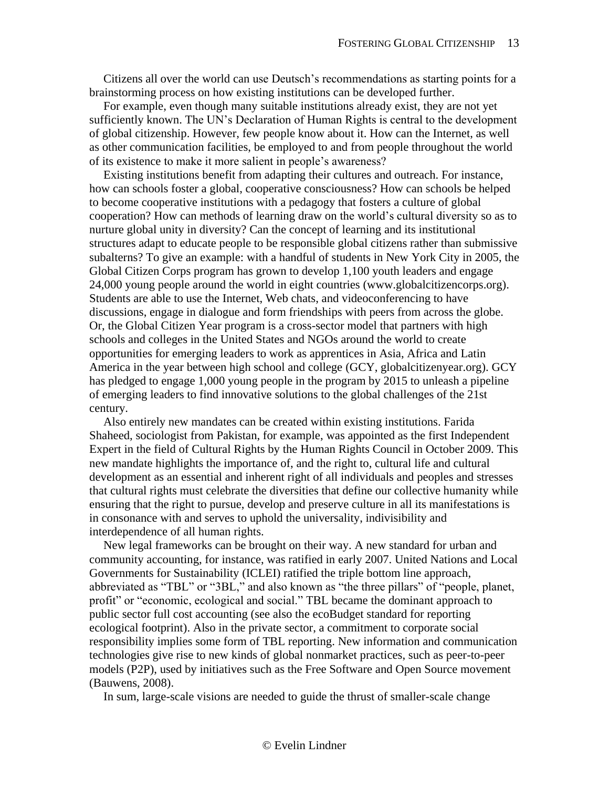Citizens all over the world can use Deutsch's recommendations as starting points for a brainstorming process on how existing institutions can be developed further.

For example, even though many suitable institutions already exist, they are not yet sufficiently known. The UN's Declaration of Human Rights is central to the development of global citizenship. However, few people know about it. How can the Internet, as well as other communication facilities, be employed to and from people throughout the world of its existence to make it more salient in people's awareness?

Existing institutions benefit from adapting their cultures and outreach. For instance, how can schools foster a global, cooperative consciousness? How can schools be helped to become cooperative institutions with a pedagogy that fosters a culture of global cooperation? How can methods of learning draw on the world's cultural diversity so as to nurture global unity in diversity? Can the concept of learning and its institutional structures adapt to educate people to be responsible global citizens rather than submissive subalterns? To give an example: with a handful of students in New York City in 2005, the Global Citizen Corps program has grown to develop 1,100 youth leaders and engage 24,000 young people around the world in eight countries (www.globalcitizencorps.org). Students are able to use the Internet, Web chats, and videoconferencing to have discussions, engage in dialogue and form friendships with peers from across the globe. Or, the Global Citizen Year program is a cross-sector model that partners with high schools and colleges in the United States and NGOs around the world to create opportunities for emerging leaders to work as apprentices in Asia, Africa and Latin America in the year between high school and college (GCY, globalcitizenyear.org). GCY has pledged to engage 1,000 young people in the program by 2015 to unleash a pipeline of emerging leaders to find innovative solutions to the global challenges of the 21st century.

Also entirely new mandates can be created within existing institutions. Farida Shaheed, sociologist from Pakistan, for example, was appointed as the first Independent Expert in the field of Cultural Rights by the Human Rights Council in October 2009. This new mandate highlights the importance of, and the right to, cultural life and cultural development as an essential and inherent right of all individuals and peoples and stresses that cultural rights must celebrate the diversities that define our collective humanity while ensuring that the right to pursue, develop and preserve culture in all its manifestations is in consonance with and serves to uphold the universality, indivisibility and interdependence of all human rights.

New legal frameworks can be brought on their way. A new standard for urban and community accounting, for instance, was ratified in early 2007. United Nations and Local Governments for Sustainability (ICLEI) ratified the triple bottom line approach, abbreviated as "TBL" or "3BL," and also known as "the three pillars" of "people, planet, profit" or "economic, ecological and social." TBL became the dominant approach to public sector full cost accounting (see also the ecoBudget standard for reporting ecological footprint). Also in the private sector, a commitment to corporate social responsibility implies some form of TBL reporting. New information and communication technologies give rise to new kinds of global nonmarket practices, such as peer-to-peer models (P2P), used by initiatives such as the Free Software and Open Source movement (Bauwens, 2008).

In sum, large-scale visions are needed to guide the thrust of smaller-scale change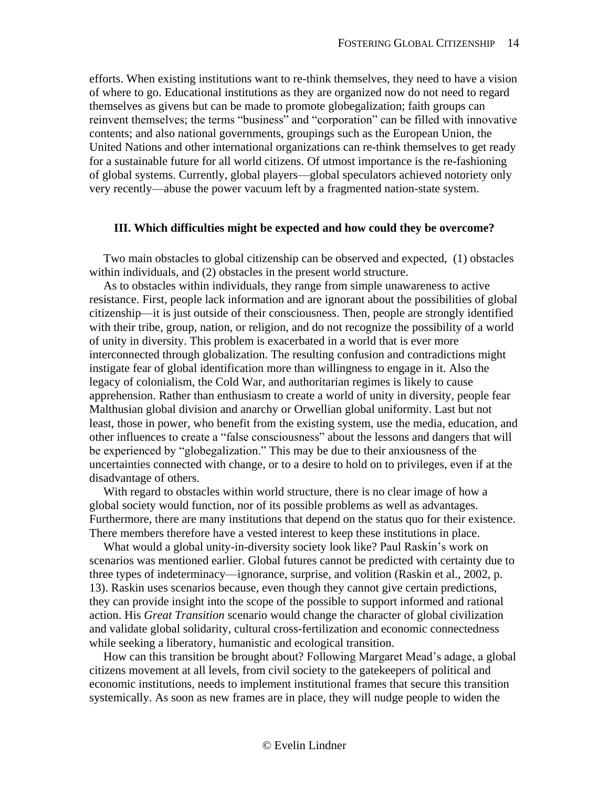efforts. When existing institutions want to re-think themselves, they need to have a vision of where to go. Educational institutions as they are organized now do not need to regard themselves as givens but can be made to promote globegalization; faith groups can reinvent themselves; the terms "business" and "corporation" can be filled with innovative contents; and also national governments, groupings such as the European Union, the United Nations and other international organizations can re-think themselves to get ready for a sustainable future for all world citizens. Of utmost importance is the re-fashioning of global systems. Currently, global players—global speculators achieved notoriety only very recently—abuse the power vacuum left by a fragmented nation-state system.

#### <span id="page-13-0"></span>**III. Which difficulties might be expected and how could they be overcome?**

Two main obstacles to global citizenship can be observed and expected, (1) obstacles within individuals, and (2) obstacles in the present world structure.

As to obstacles within individuals, they range from simple unawareness to active resistance. First, people lack information and are ignorant about the possibilities of global citizenship—it is just outside of their consciousness. Then, people are strongly identified with their tribe, group, nation, or religion, and do not recognize the possibility of a world of unity in diversity. This problem is exacerbated in a world that is ever more interconnected through globalization. The resulting confusion and contradictions might instigate fear of global identification more than willingness to engage in it. Also the legacy of colonialism, the Cold War, and authoritarian regimes is likely to cause apprehension. Rather than enthusiasm to create a world of unity in diversity, people fear Malthusian global division and anarchy or Orwellian global uniformity. Last but not least, those in power, who benefit from the existing system, use the media, education, and other influences to create a "false consciousness" about the lessons and dangers that will be experienced by "globegalization." This may be due to their anxiousness of the uncertainties connected with change, or to a desire to hold on to privileges, even if at the disadvantage of others.

With regard to obstacles within world structure, there is no clear image of how a global society would function, nor of its possible problems as well as advantages. Furthermore, there are many institutions that depend on the status quo for their existence. There members therefore have a vested interest to keep these institutions in place.

What would a global unity-in-diversity society look like? Paul Raskin's work on scenarios was mentioned earlier. Global futures cannot be predicted with certainty due to three types of indeterminacy—ignorance, surprise, and volition (Raskin et al., 2002, p. 13). Raskin uses scenarios because, even though they cannot give certain predictions, they can provide insight into the scope of the possible to support informed and rational action. His *Great Transition* scenario would change the character of global civilization and validate global solidarity, cultural cross-fertilization and economic connectedness while seeking a liberatory, humanistic and ecological transition.

How can this transition be brought about? Following Margaret Mead's adage, a global citizens movement at all levels, from civil society to the gatekeepers of political and economic institutions, needs to implement institutional frames that secure this transition systemically. As soon as new frames are in place, they will nudge people to widen the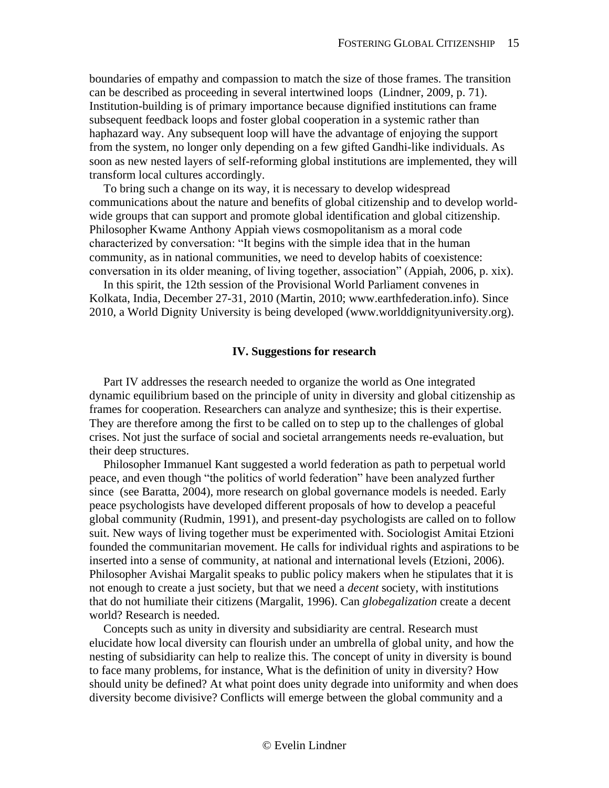boundaries of empathy and compassion to match the size of those frames. The transition can be described as proceeding in several intertwined loops (Lindner, 2009, p. 71). Institution-building is of primary importance because dignified institutions can frame subsequent feedback loops and foster global cooperation in a systemic rather than haphazard way. Any subsequent loop will have the advantage of enjoying the support from the system, no longer only depending on a few gifted Gandhi-like individuals. As soon as new nested layers of self-reforming global institutions are implemented, they will transform local cultures accordingly.

To bring such a change on its way, it is necessary to develop widespread communications about the nature and benefits of global citizenship and to develop worldwide groups that can support and promote global identification and global citizenship. Philosopher Kwame Anthony Appiah views cosmopolitanism as a moral code characterized by conversation: "It begins with the simple idea that in the human community, as in national communities, we need to develop habits of coexistence: conversation in its older meaning, of living together, association" (Appiah, 2006, p. xix).

In this spirit, the 12th session of the Provisional World Parliament convenes in Kolkata, India, December 27-31, 2010 (Martin, 2010; www.earthfederation.info). Since 2010, a World Dignity University is being developed (www.worlddignityuniversity.org).

#### **IV. Suggestions for research**

<span id="page-14-0"></span>Part IV addresses the research needed to organize the world as One integrated dynamic equilibrium based on the principle of unity in diversity and global citizenship as frames for cooperation. Researchers can analyze and synthesize; this is their expertise. They are therefore among the first to be called on to step up to the challenges of global crises. Not just the surface of social and societal arrangements needs re-evaluation, but their deep structures.

Philosopher Immanuel Kant suggested a world federation as path to perpetual world peace, and even though "the politics of world federation" have been analyzed further since (see Baratta, 2004), more research on global governance models is needed. Early peace psychologists have developed different proposals of how to develop a peaceful global community (Rudmin, 1991), and present-day psychologists are called on to follow suit. New ways of living together must be experimented with. Sociologist Amitai Etzioni founded the communitarian movement. He calls for individual rights and aspirations to be inserted into a sense of community, at national and international levels (Etzioni, 2006). Philosopher Avishai Margalit speaks to public policy makers when he stipulates that it is not enough to create a just society, but that we need a *decent* society, with institutions that do not humiliate their citizens (Margalit, 1996). Can *globegalization* create a decent world? Research is needed.

Concepts such as unity in diversity and subsidiarity are central. Research must elucidate how local diversity can flourish under an umbrella of global unity, and how the nesting of subsidiarity can help to realize this. The concept of unity in diversity is bound to face many problems, for instance, What is the definition of unity in diversity? How should unity be defined? At what point does unity degrade into uniformity and when does diversity become divisive? Conflicts will emerge between the global community and a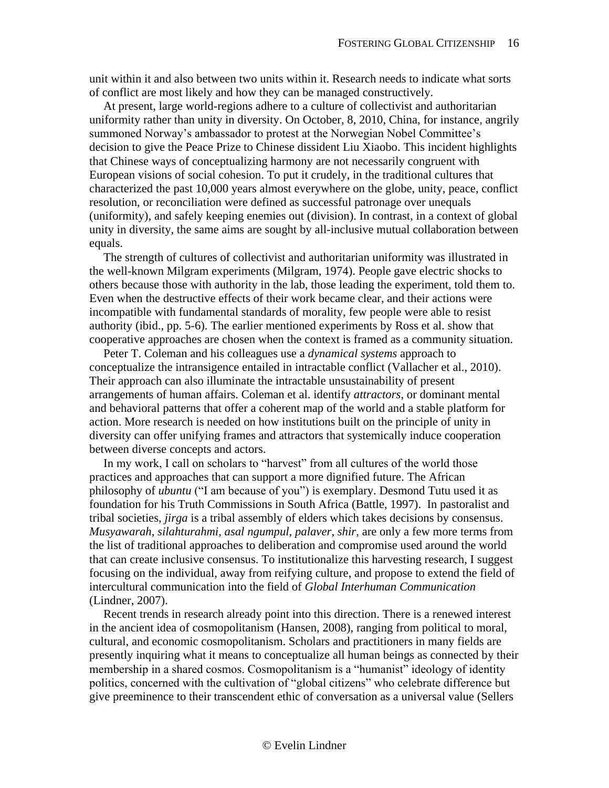unit within it and also between two units within it. Research needs to indicate what sorts of conflict are most likely and how they can be managed constructively.

At present, large world-regions adhere to a culture of collectivist and authoritarian uniformity rather than unity in diversity. On October, 8, 2010, China, for instance, angrily summoned Norway's ambassador to protest at the Norwegian Nobel Committee's decision to give the Peace Prize to Chinese dissident Liu Xiaobo. This incident highlights that Chinese ways of conceptualizing harmony are not necessarily congruent with European visions of social cohesion. To put it crudely, in the traditional cultures that characterized the past 10,000 years almost everywhere on the globe, unity, peace, conflict resolution, or reconciliation were defined as successful patronage over unequals (uniformity), and safely keeping enemies out (division). In contrast, in a context of global unity in diversity, the same aims are sought by all-inclusive mutual collaboration between equals.

The strength of cultures of collectivist and authoritarian uniformity was illustrated in the well-known Milgram experiments (Milgram, 1974). People gave electric shocks to others because those with authority in the lab, those leading the experiment, told them to. Even when the destructive effects of their work became clear, and their actions were incompatible with fundamental standards of morality, few people were able to resist authority (ibid., pp. 5-6). The earlier mentioned experiments by Ross et al. show that cooperative approaches are chosen when the context is framed as a community situation.

Peter T. Coleman and his colleagues use a *dynamical systems* approach to conceptualize the intransigence entailed in intractable conflict (Vallacher et al., 2010). Their approach can also illuminate the intractable unsustainability of present arrangements of human affairs. Coleman et al. identify *attractors*, or dominant mental and behavioral patterns that offer a coherent map of the world and a stable platform for action. More research is needed on how institutions built on the principle of unity in diversity can offer unifying frames and attractors that systemically induce cooperation between diverse concepts and actors.

In my work, I call on scholars to "harvest" from all cultures of the world those practices and approaches that can support a more dignified future. The African philosophy of *ubuntu* ("I am because of you") is exemplary. Desmond Tutu used it as foundation for his Truth Commissions in South Africa (Battle, 1997). In pastoralist and tribal societies, *jirga* is a tribal assembly of elders which takes decisions by consensus. *Musyawarah, silahturahmi, asal ngumpul, palaver, shir*, are only a few more terms from the list of traditional approaches to deliberation and compromise used around the world that can create inclusive consensus. To institutionalize this harvesting research, I suggest focusing on the individual, away from reifying culture, and propose to extend the field of intercultural communication into the field of *Global Interhuman Communication* (Lindner, 2007).

Recent trends in research already point into this direction. There is a renewed interest in the ancient idea of cosmopolitanism (Hansen, 2008), ranging from political to moral, cultural, and economic cosmopolitanism. Scholars and practitioners in many fields are presently inquiring what it means to conceptualize all human beings as connected by their membership in a shared cosmos. Cosmopolitanism is a "humanist" ideology of identity politics, concerned with the cultivation of "global citizens" who celebrate difference but give preeminence to their transcendent ethic of conversation as a universal value (Sellers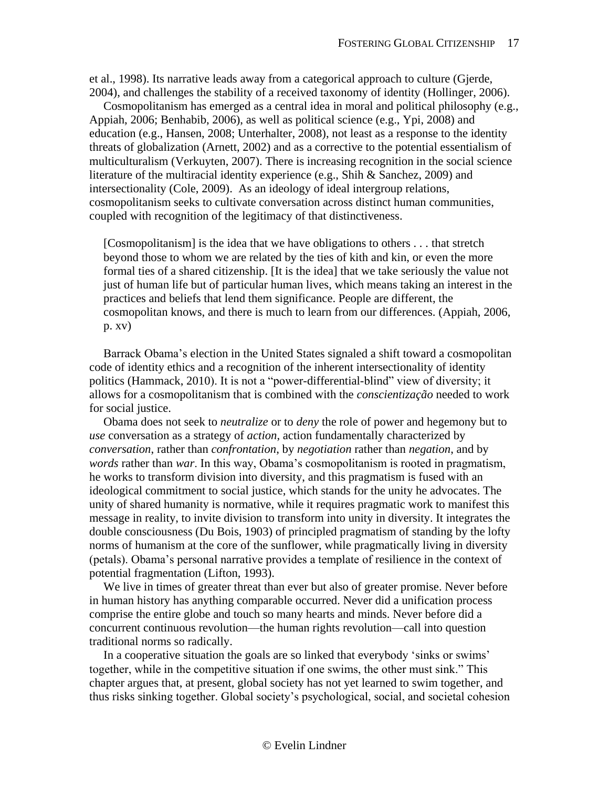et al., 1998). Its narrative leads away from a categorical approach to culture (Gjerde, 2004), and challenges the stability of a received taxonomy of identity (Hollinger, 2006).

Cosmopolitanism has emerged as a central idea in moral and political philosophy (e.g., Appiah, 2006; Benhabib, 2006), as well as political science (e.g., Ypi, 2008) and education (e.g., Hansen, 2008; Unterhalter, 2008), not least as a response to the identity threats of globalization (Arnett, 2002) and as a corrective to the potential essentialism of multiculturalism (Verkuyten, 2007). There is increasing recognition in the social science literature of the multiracial identity experience (e.g., Shih & Sanchez, 2009) and intersectionality (Cole, 2009). As an ideology of ideal intergroup relations, cosmopolitanism seeks to cultivate conversation across distinct human communities, coupled with recognition of the legitimacy of that distinctiveness.

[Cosmopolitanism] is the idea that we have obligations to others *. . .* that stretch beyond those to whom we are related by the ties of kith and kin, or even the more formal ties of a shared citizenship. [It is the idea] that we take seriously the value not just of human life but of particular human lives, which means taking an interest in the practices and beliefs that lend them significance. People are different, the cosmopolitan knows, and there is much to learn from our differences. (Appiah, 2006, p. xv)

Barrack Obama's election in the United States signaled a shift toward a cosmopolitan code of identity ethics and a recognition of the inherent intersectionality of identity politics (Hammack, 2010). It is not a "power-differential-blind" view of diversity; it allows for a cosmopolitanism that is combined with the *conscientização* needed to work for social justice.

Obama does not seek to *neutralize* or to *deny* the role of power and hegemony but to *use* conversation as a strategy of *action*, action fundamentally characterized by *conversation*, rather than *confrontation*, by *negotiation* rather than *negation*, and by *words* rather than *war*. In this way, Obama's cosmopolitanism is rooted in pragmatism, he works to transform division into diversity, and this pragmatism is fused with an ideological commitment to social justice, which stands for the unity he advocates. The unity of shared humanity is normative, while it requires pragmatic work to manifest this message in reality, to invite division to transform into unity in diversity. It integrates the double consciousness (Du Bois, 1903) of principled pragmatism of standing by the lofty norms of humanism at the core of the sunflower, while pragmatically living in diversity (petals). Obama's personal narrative provides a template of resilience in the context of potential fragmentation (Lifton, 1993).

We live in times of greater threat than ever but also of greater promise. Never before in human history has anything comparable occurred. Never did a unification process comprise the entire globe and touch so many hearts and minds. Never before did a concurrent continuous revolution—the human rights revolution—call into question traditional norms so radically.

In a cooperative situation the goals are so linked that everybody 'sinks or swims' together, while in the competitive situation if one swims, the other must sink." This chapter argues that, at present, global society has not yet learned to swim together, and thus risks sinking together. Global society's psychological, social, and societal cohesion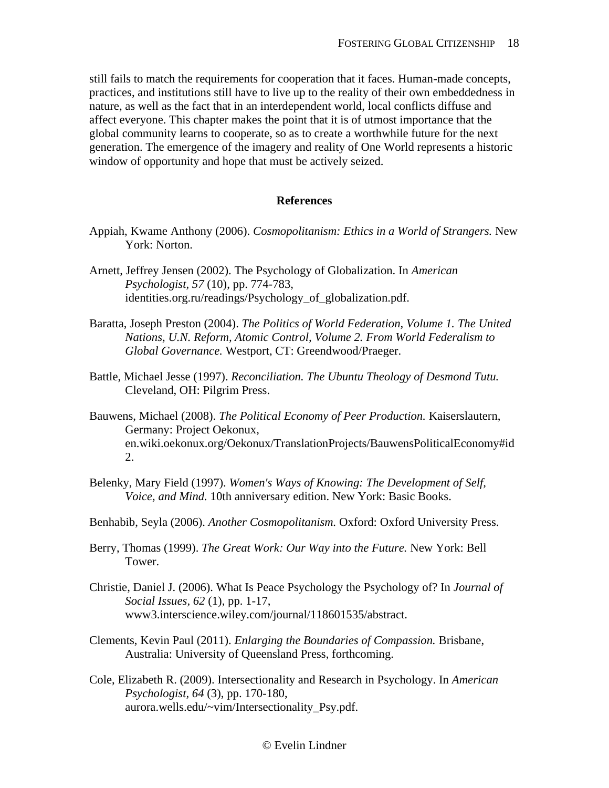still fails to match the requirements for cooperation that it faces. Human-made concepts, practices, and institutions still have to live up to the reality of their own embeddedness in nature, as well as the fact that in an interdependent world, local conflicts diffuse and affect everyone. This chapter makes the point that it is of utmost importance that the global community learns to cooperate, so as to create a worthwhile future for the next generation. The emergence of the imagery and reality of One World represents a historic window of opportunity and hope that must be actively seized.

## **References**

- <span id="page-17-0"></span>Appiah, Kwame Anthony (2006). *Cosmopolitanism: Ethics in a World of Strangers.* New York: Norton.
- Arnett, Jeffrey Jensen (2002). The Psychology of Globalization. In *American Psychologist, 57* (10), pp. 774-783, identities.org.ru/readings/Psychology\_of\_globalization.pdf.
- Baratta, Joseph Preston (2004). *The Politics of World Federation, Volume 1. The United Nations, U.N. Reform, Atomic Control, Volume 2. From World Federalism to Global Governance.* Westport, CT: Greendwood/Praeger.
- Battle, Michael Jesse (1997). *Reconciliation. The Ubuntu Theology of Desmond Tutu.*  Cleveland, OH: Pilgrim Press.
- Bauwens, Michael (2008). *The Political Economy of Peer Production.* Kaiserslautern, Germany: Project Oekonux, en.wiki.oekonux.org/Oekonux/TranslationProjects/BauwensPoliticalEconomy#id 2.
- Belenky, Mary Field (1997). *Women's Ways of Knowing: The Development of Self, Voice, and Mind.* 10th anniversary edition. New York: Basic Books.
- Benhabib, Seyla (2006). *Another Cosmopolitanism.* Oxford: Oxford University Press.
- Berry, Thomas (1999). *The Great Work: Our Way into the Future.* New York: Bell Tower.
- Christie, Daniel J. (2006). What Is Peace Psychology the Psychology of? In *Journal of Social Issues, 62* (1), pp. 1-17, www3.interscience.wiley.com/journal/118601535/abstract.
- Clements, Kevin Paul (2011). *Enlarging the Boundaries of Compassion.* Brisbane, Australia: University of Queensland Press, forthcoming.
- Cole, Elizabeth R. (2009). Intersectionality and Research in Psychology. In *American Psychologist, 64* (3), pp. 170-180, aurora.wells.edu/~vim/Intersectionality\_Psy.pdf.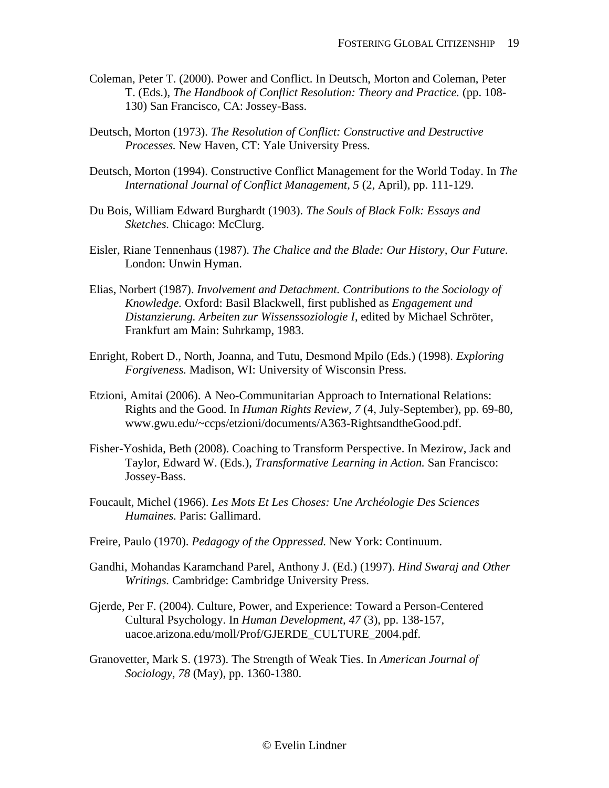- Coleman, Peter T. (2000). Power and Conflict. In Deutsch, Morton and Coleman, Peter T. (Eds.), *The Handbook of Conflict Resolution: Theory and Practice.* (pp. 108- 130) San Francisco, CA: Jossey-Bass.
- Deutsch, Morton (1973). *The Resolution of Conflict: Constructive and Destructive Processes.* New Haven, CT: Yale University Press.
- Deutsch, Morton (1994). Constructive Conflict Management for the World Today. In *The International Journal of Conflict Management, 5* (2, April), pp. 111-129.
- Du Bois, William Edward Burghardt (1903). *The Souls of Black Folk: Essays and Sketches.* Chicago: McClurg.
- Eisler, Riane Tennenhaus (1987). *The Chalice and the Blade: Our History, Our Future.*  London: Unwin Hyman.
- Elias, Norbert (1987). *Involvement and Detachment. Contributions to the Sociology of Knowledge.* Oxford: Basil Blackwell, first published as *Engagement und Distanzierung. Arbeiten zur Wissenssoziologie I*, edited by Michael Schröter, Frankfurt am Main: Suhrkamp, 1983.
- Enright, Robert D., North, Joanna, and Tutu, Desmond Mpilo (Eds.) (1998). *Exploring Forgiveness.* Madison, WI: University of Wisconsin Press.
- Etzioni, Amitai (2006). A Neo-Communitarian Approach to International Relations: Rights and the Good. In *Human Rights Review, 7* (4, July-September), pp. 69-80, [www.gwu.edu/~ccps/etzioni/documents/A363-RightsandtheGood.pdf.](http://www.gwu.edu/~ccps/etzioni/documents/A363-RightsandtheGood.pdf)
- Fisher-Yoshida, Beth (2008). Coaching to Transform Perspective. In Mezirow, Jack and Taylor, Edward W. (Eds.), *Transformative Learning in Action.* San Francisco: Jossey-Bass.
- Foucault, Michel (1966). *Les Mots Et Les Choses: Une Archéologie Des Sciences Humaines.* Paris: Gallimard.
- Freire, Paulo (1970). *Pedagogy of the Oppressed.* New York: Continuum.
- Gandhi, Mohandas Karamchand Parel, Anthony J. (Ed.) (1997). *Hind Swaraj and Other Writings.* Cambridge: Cambridge University Press.
- Gjerde, Per F. (2004). Culture, Power, and Experience: Toward a Person-Centered Cultural Psychology. In *Human Development, 47* (3), pp. 138-157, uacoe.arizona.edu/moll/Prof/GJERDE\_CULTURE\_2004.pdf.
- Granovetter, Mark S. (1973). The Strength of Weak Ties. In *American Journal of Sociology, 78* (May), pp. 1360-1380.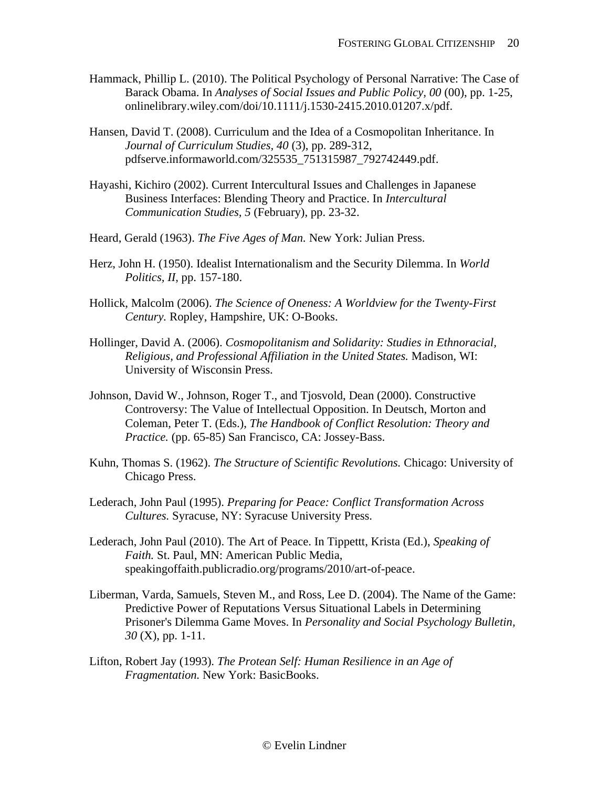- Hammack, Phillip L. (2010). The Political Psychology of Personal Narrative: The Case of Barack Obama. In *Analyses of Social Issues and Public Policy, 00* (00), pp. 1-25, onlinelibrary.wiley.com/doi/10.1111/j.1530-2415.2010.01207.x/pdf.
- Hansen, David T. (2008). Curriculum and the Idea of a Cosmopolitan Inheritance. In *Journal of Curriculum Studies, 40* (3), pp. 289-312, pdfserve.informaworld.com/325535\_751315987\_792742449.pdf.
- Hayashi, Kichiro (2002). Current Intercultural Issues and Challenges in Japanese Business Interfaces: Blending Theory and Practice. In *Intercultural Communication Studies, 5* (February), pp. 23-32.
- Heard, Gerald (1963). *The Five Ages of Man.* New York: Julian Press.
- Herz, John H. (1950). Idealist Internationalism and the Security Dilemma. In *World Politics, II*, pp. 157-180.
- Hollick, Malcolm (2006). *The Science of Oneness: A Worldview for the Twenty-First Century.* Ropley, Hampshire, UK: O-Books.
- Hollinger, David A. (2006). *Cosmopolitanism and Solidarity: Studies in Ethnoracial, Religious, and Professional Affiliation in the United States.* Madison, WI: University of Wisconsin Press.
- Johnson, David W., Johnson, Roger T., and Tjosvold, Dean (2000). Constructive Controversy: The Value of Intellectual Opposition. In Deutsch, Morton and Coleman, Peter T. (Eds.), *The Handbook of Conflict Resolution: Theory and Practice.* (pp. 65-85) San Francisco, CA: Jossey-Bass.
- Kuhn, Thomas S. (1962). *The Structure of Scientific Revolutions.* Chicago: University of Chicago Press.
- Lederach, John Paul (1995). *Preparing for Peace: Conflict Transformation Across Cultures.* Syracuse, NY: Syracuse University Press.
- Lederach, John Paul (2010). The Art of Peace. In Tippettt, Krista (Ed.), *Speaking of Faith.* St. Paul, MN: American Public Media, speakingoffaith.publicradio.org/programs/2010/art-of-peace.
- Liberman, Varda, Samuels, Steven M., and Ross, Lee D. (2004). The Name of the Game: Predictive Power of Reputations Versus Situational Labels in Determining Prisoner's Dilemma Game Moves. In *Personality and Social Psychology Bulletin, 30* (X), pp. 1-11.
- Lifton, Robert Jay (1993). *The Protean Self: Human Resilience in an Age of Fragmentation.* New York: BasicBooks.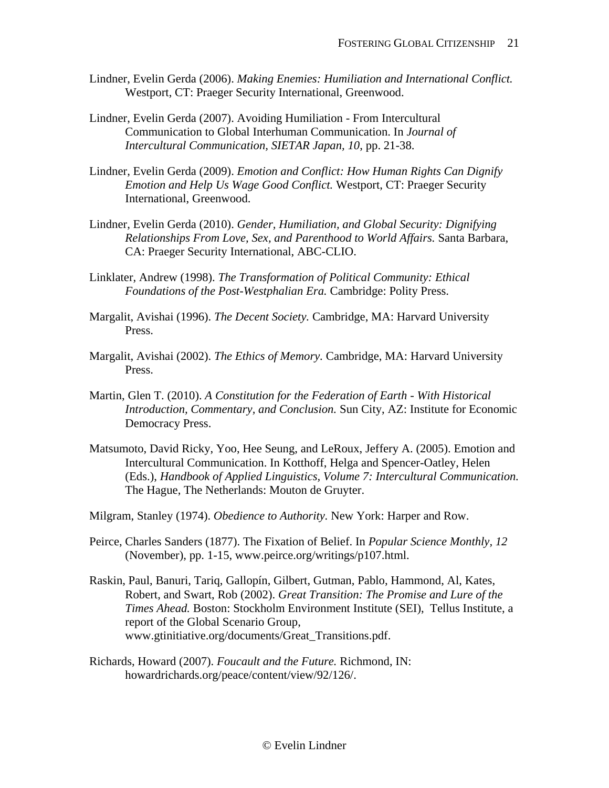- Lindner, Evelin Gerda (2006). *Making Enemies: Humiliation and International Conflict.*  Westport, CT: Praeger Security International, Greenwood.
- Lindner, Evelin Gerda (2007). Avoiding Humiliation From Intercultural Communication to Global Interhuman Communication. In *Journal of Intercultural Communication, SIETAR Japan, 10*, pp. 21-38.
- Lindner, Evelin Gerda (2009). *Emotion and Conflict: How Human Rights Can Dignify Emotion and Help Us Wage Good Conflict.* Westport, CT: Praeger Security International, Greenwood.
- Lindner, Evelin Gerda (2010). *Gender, Humiliation, and Global Security: Dignifying Relationships From Love, Sex, and Parenthood to World Affairs.* Santa Barbara, CA: Praeger Security International, ABC-CLIO.
- Linklater, Andrew (1998). *The Transformation of Political Community: Ethical Foundations of the Post-Westphalian Era.* Cambridge: Polity Press.
- Margalit, Avishai (1996). *The Decent Society.* Cambridge, MA: Harvard University Press.
- Margalit, Avishai (2002). *The Ethics of Memory.* Cambridge, MA: Harvard University Press.
- Martin, Glen T. (2010). *A Constitution for the Federation of Earth - With Historical Introduction, Commentary, and Conclusion.* Sun City, AZ: Institute for Economic Democracy Press.
- Matsumoto, David Ricky, Yoo, Hee Seung, and LeRoux, Jeffery A. (2005). Emotion and Intercultural Communication. In Kotthoff, Helga and Spencer-Oatley, Helen (Eds.), *Handbook of Applied Linguistics, Volume 7: Intercultural Communication.* The Hague, The Netherlands: Mouton de Gruyter.
- Milgram, Stanley (1974). *Obedience to Authority.* New York: Harper and Row.
- Peirce, Charles Sanders (1877). The Fixation of Belief. In *Popular Science Monthly, 12* (November), pp. 1-15, [www.peirce.org/writings/p107.html.](http://www.peirce.org/writings/p107.html)
- Raskin, Paul, Banuri, Tariq, Gallopín, Gilbert, Gutman, Pablo, Hammond, Al, Kates, Robert, and Swart, Rob (2002). *Great Transition: The Promise and Lure of the Times Ahead.* Boston: Stockholm Environment Institute (SEI), Tellus Institute, a report of the Global Scenario Group, [www.gtinitiative.org/documents/Great\\_Transitions.pdf.](http://www.gtinitiative.org/documents/Great_Transitions.pdf)
- Richards, Howard (2007). *Foucault and the Future.* Richmond, IN: howardrichards.org/peace/content/view/92/126/.